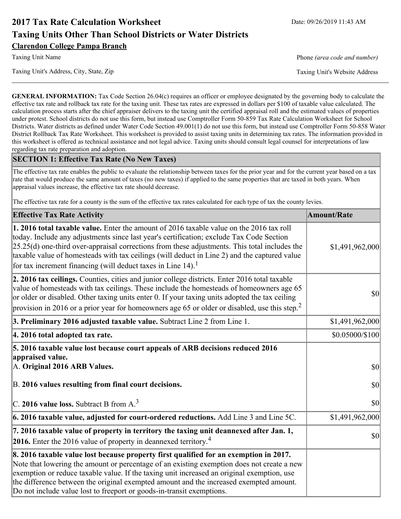# **2017 Tax Rate Calculation Worksheet** Date: 09/26/2019 11:43 AM **Taxing Units Other Than School Districts or Water Districts Clarendon College Pampa Branch**

Taxing Unit Name **Phone** *(area code and number)* Phone *(area code and number)* 

Taxing Unit's Address, City, State, Zip Taxing Unit's Website Address

**GENERAL INFORMATION:** Tax Code Section 26.04(c) requires an officer or employee designated by the governing body to calculate the effective tax rate and rollback tax rate for the taxing unit. These tax rates are expressed in dollars per \$100 of taxable value calculated. The calculation process starts after the chief appraiser delivers to the taxing unit the certified appraisal roll and the estimated values of properties under protest. School districts do not use this form, but instead use Comptroller Form 50-859 Tax Rate Calculation Worksheet for School Districts. Water districts as defined under Water Code Section 49.001(1) do not use this form, but instead use Comptroller Form 50-858 Water District Rollback Tax Rate Worksheet. This worksheet is provided to assist taxing units in determining tax rates. The information provided in this worksheet is offered as technical assistance and not legal advice. Taxing units should consult legal counsel for interpretations of law regarding tax rate preparation and adoption.

### **SECTION 1: Effective Tax Rate (No New Taxes)**

The effective tax rate enables the public to evaluate the relationship between taxes for the prior year and for the current year based on a tax rate that would produce the same amount of taxes (no new taxes) if applied to the same properties that are taxed in both years. When appraisal values increase, the effective tax rate should decrease.

The effective tax rate for a county is the sum of the effective tax rates calculated for each type of tax the county levies.

| <b>Effective Tax Rate Activity</b>                                                                                                                                                                                                                                                                                                                                                                                                                                             | <b>Amount/Rate</b> |
|--------------------------------------------------------------------------------------------------------------------------------------------------------------------------------------------------------------------------------------------------------------------------------------------------------------------------------------------------------------------------------------------------------------------------------------------------------------------------------|--------------------|
| <b>1. 2016 total taxable value.</b> Enter the amount of 2016 taxable value on the 2016 tax roll<br>today. Include any adjustments since last year's certification; exclude Tax Code Section<br>$[25.25(d)$ one-third over-appraisal corrections from these adjustments. This total includes the<br>taxable value of homesteads with tax ceilings (will deduct in Line 2) and the captured value<br>for tax increment financing (will deduct taxes in Line $14$ ). <sup>1</sup> | \$1,491,962,000    |
| 2. 2016 tax ceilings. Counties, cities and junior college districts. Enter 2016 total taxable<br>value of homesteads with tax ceilings. These include the homesteads of homeowners age 65<br>or older or disabled. Other taxing units enter 0. If your taxing units adopted the tax ceiling<br>provision in 2016 or a prior year for homeowners age 65 or older or disabled, use this step. <sup>2</sup>                                                                       | 30                 |
| 3. Preliminary 2016 adjusted taxable value. Subtract Line 2 from Line 1.                                                                                                                                                                                                                                                                                                                                                                                                       | \$1,491,962,000    |
| 4. 2016 total adopted tax rate.                                                                                                                                                                                                                                                                                                                                                                                                                                                | \$0.05000/\$100    |
| 5. 2016 taxable value lost because court appeals of ARB decisions reduced 2016<br>appraised value.<br>A. Original 2016 ARB Values.                                                                                                                                                                                                                                                                                                                                             | $ 10\rangle$       |
| B. 2016 values resulting from final court decisions.                                                                                                                                                                                                                                                                                                                                                                                                                           | 30                 |
| C. 2016 value loss. Subtract B from $A3$                                                                                                                                                                                                                                                                                                                                                                                                                                       | 30                 |
| 6. 2016 taxable value, adjusted for court-ordered reductions. Add Line 3 and Line 5C.                                                                                                                                                                                                                                                                                                                                                                                          | \$1,491,962,000    |
| 7. 2016 taxable value of property in territory the taxing unit deannexed after Jan. 1,<br><b>2016.</b> Enter the 2016 value of property in deannexed territory. <sup>4</sup>                                                                                                                                                                                                                                                                                                   | $ 10\rangle$       |
| 8. 2016 taxable value lost because property first qualified for an exemption in 2017.<br>Note that lowering the amount or percentage of an existing exemption does not create a new<br>exemption or reduce taxable value. If the taxing unit increased an original exemption, use<br>the difference between the original exempted amount and the increased exempted amount.<br>Do not include value lost to freeport or goods-in-transit exemptions.                           |                    |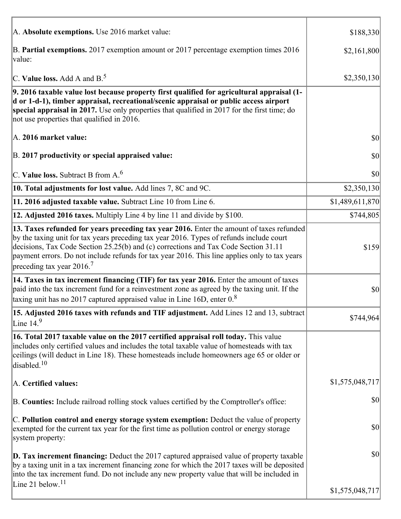| A. Absolute exemptions. Use 2016 market value:                                                                                                                                                                                                                                                                                                                                                                         | \$188,330       |
|------------------------------------------------------------------------------------------------------------------------------------------------------------------------------------------------------------------------------------------------------------------------------------------------------------------------------------------------------------------------------------------------------------------------|-----------------|
| B. Partial exemptions. 2017 exemption amount or 2017 percentage exemption times 2016<br>value:                                                                                                                                                                                                                                                                                                                         | \$2,161,800     |
| C. Value loss. Add A and $B^5$                                                                                                                                                                                                                                                                                                                                                                                         | \$2,350,130     |
| 9. 2016 taxable value lost because property first qualified for agricultural appraisal (1-<br>d or 1-d-1), timber appraisal, recreational/scenic appraisal or public access airport<br>special appraisal in 2017. Use only properties that qualified in 2017 for the first time; do<br>not use properties that qualified in 2016.                                                                                      |                 |
| A. 2016 market value:                                                                                                                                                                                                                                                                                                                                                                                                  | \$0             |
| B. 2017 productivity or special appraised value:                                                                                                                                                                                                                                                                                                                                                                       | 30              |
| C. Value loss. Subtract B from $A6$                                                                                                                                                                                                                                                                                                                                                                                    | 30              |
| 10. Total adjustments for lost value. Add lines 7, 8C and 9C.                                                                                                                                                                                                                                                                                                                                                          | \$2,350,130     |
| 11. 2016 adjusted taxable value. Subtract Line 10 from Line 6.                                                                                                                                                                                                                                                                                                                                                         | \$1,489,611,870 |
| 12. Adjusted 2016 taxes. Multiply Line 4 by line 11 and divide by \$100.                                                                                                                                                                                                                                                                                                                                               | \$744,805       |
| 13. Taxes refunded for years preceding tax year 2016. Enter the amount of taxes refunded<br>by the taxing unit for tax years preceding tax year 2016. Types of refunds include court<br>decisions, Tax Code Section 25.25(b) and (c) corrections and Tax Code Section 31.11<br>payment errors. Do not include refunds for tax year 2016. This line applies only to tax years<br>preceding tax year $2016$ <sup>7</sup> | \$159           |
| 14. Taxes in tax increment financing (TIF) for tax year 2016. Enter the amount of taxes<br>paid into the tax increment fund for a reinvestment zone as agreed by the taxing unit. If the<br>taxing unit has no 2017 captured appraised value in Line 16D, enter $0.8$                                                                                                                                                  | \$0             |
| 15. Adjusted 2016 taxes with refunds and TIF adjustment. Add Lines 12 and 13, subtract<br>Line $149$                                                                                                                                                                                                                                                                                                                   | \$744,964       |
| 16. Total 2017 taxable value on the 2017 certified appraisal roll today. This value<br>includes only certified values and includes the total taxable value of homesteads with tax<br>ceilings (will deduct in Line 18). These homesteads include homeowners age 65 or older or<br>disabled. $10$                                                                                                                       |                 |
| A. Certified values:                                                                                                                                                                                                                                                                                                                                                                                                   | \$1,575,048,717 |
| B. Counties: Include railroad rolling stock values certified by the Comptroller's office:                                                                                                                                                                                                                                                                                                                              | \$0             |
| C. Pollution control and energy storage system exemption: Deduct the value of property<br>exempted for the current tax year for the first time as pollution control or energy storage<br>system property:                                                                                                                                                                                                              | \$0             |
| <b>D. Tax increment financing:</b> Deduct the 2017 captured appraised value of property taxable<br>by a taxing unit in a tax increment financing zone for which the 2017 taxes will be deposited<br>into the tax increment fund. Do not include any new property value that will be included in                                                                                                                        | \$0             |
| Line 21 below. <sup>11</sup>                                                                                                                                                                                                                                                                                                                                                                                           | \$1,575,048,717 |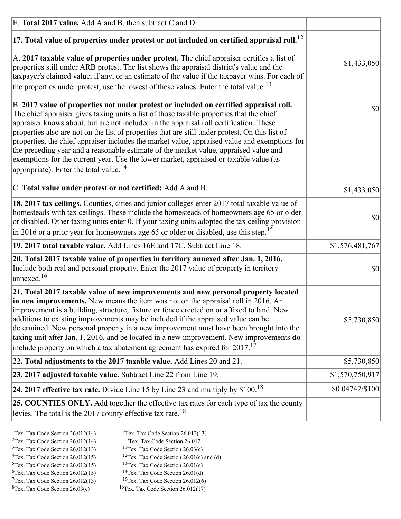| E. Total 2017 value. Add A and B, then subtract C and D.                                                                                                                                                                                                                                                                                                                                                                                                                                                                                                                                                                                                                                                                 |                  |
|--------------------------------------------------------------------------------------------------------------------------------------------------------------------------------------------------------------------------------------------------------------------------------------------------------------------------------------------------------------------------------------------------------------------------------------------------------------------------------------------------------------------------------------------------------------------------------------------------------------------------------------------------------------------------------------------------------------------------|------------------|
| $ 17$ . Total value of properties under protest or not included on certified appraisal roll. <sup>12</sup>                                                                                                                                                                                                                                                                                                                                                                                                                                                                                                                                                                                                               |                  |
| A. 2017 taxable value of properties under protest. The chief appraiser certifies a list of<br>properties still under ARB protest. The list shows the appraisal district's value and the<br>taxpayer's claimed value, if any, or an estimate of the value if the taxpayer wins. For each of<br>the properties under protest, use the lowest of these values. Enter the total value. <sup>13</sup>                                                                                                                                                                                                                                                                                                                         | \$1,433,050      |
| B. 2017 value of properties not under protest or included on certified appraisal roll.<br>The chief appraiser gives taxing units a list of those taxable properties that the chief<br>appraiser knows about, but are not included in the appraisal roll certification. These<br>properties also are not on the list of properties that are still under protest. On this list of<br>properties, the chief appraiser includes the market value, appraised value and exemptions for<br>the preceding year and a reasonable estimate of the market value, appraised value and<br>exemptions for the current year. Use the lower market, appraised or taxable value (as<br>appropriate). Enter the total value. <sup>14</sup> | \$0              |
| C. Total value under protest or not certified: Add A and B.                                                                                                                                                                                                                                                                                                                                                                                                                                                                                                                                                                                                                                                              | \$1,433,050      |
| 18. 2017 tax ceilings. Counties, cities and junior colleges enter 2017 total taxable value of<br>homesteads with tax ceilings. These include the homesteads of homeowners age 65 or older<br>or disabled. Other taxing units enter 0. If your taxing units adopted the tax ceiling provision<br>$\vert$ in 2016 or a prior year for homeowners age 65 or older or disabled, use this step. <sup>15</sup>                                                                                                                                                                                                                                                                                                                 | 30               |
| 19. 2017 total taxable value. Add Lines 16E and 17C. Subtract Line 18.                                                                                                                                                                                                                                                                                                                                                                                                                                                                                                                                                                                                                                                   | \$1,576,481,767  |
| 20. Total 2017 taxable value of properties in territory annexed after Jan. 1, 2016.<br>Include both real and personal property. Enter the 2017 value of property in territory<br>$\vert$ annexed. <sup>16</sup>                                                                                                                                                                                                                                                                                                                                                                                                                                                                                                          | $ 10\rangle$     |
| 21. Total 2017 taxable value of new improvements and new personal property located<br>in new improvements. New means the item was not on the appraisal roll in 2016. An<br>improvement is a building, structure, fixture or fence erected on or affixed to land. New<br>additions to existing improvements may be included if the appraised value can be<br>determined. New personal property in a new improvement must have been brought into the<br>taxing unit after Jan. 1, 2016, and be located in a new improvement. New improvements do<br>include property on which a tax abatement agreement has expired for $2017$ <sup>17</sup>                                                                               | \$5,730,850      |
| 22. Total adjustments to the 2017 taxable value. Add Lines 20 and 21.                                                                                                                                                                                                                                                                                                                                                                                                                                                                                                                                                                                                                                                    | \$5,730,850      |
| 23. 2017 adjusted taxable value. Subtract Line 22 from Line 19.                                                                                                                                                                                                                                                                                                                                                                                                                                                                                                                                                                                                                                                          | \$1,570,750,917  |
| 24. 2017 effective tax rate. Divide Line 15 by Line 23 and multiply by $$100$ . <sup>18</sup>                                                                                                                                                                                                                                                                                                                                                                                                                                                                                                                                                                                                                            | $$0.04742/\$100$ |
| 25. COUNTIES ONLY. Add together the effective tax rates for each type of tax the county<br>levies. The total is the 2017 county effective tax rate. <sup>18</sup>                                                                                                                                                                                                                                                                                                                                                                                                                                                                                                                                                        |                  |

- <sup>2</sup>Tex. Tax Code Section 26.012(14)
- <sup>1</sup>Tex. Tax Code Section 26.012(14) <sup>9</sup>Tex. Tax Code Section 26.012(13) <sup>9</sup>Tex. Tax Code Section 26.012
	-
- <sup>3</sup>Tex. Tax Code Section 26.012(13) <sup>11</sup>Tex. Tax Code Section 26.03(c) <sup>4</sup>Tex. Tax Code Section 26.01(c) and <sup>12</sup>Tex. Tax Code Section 26.01(c) and <sup>12</sup>Tex. Tax Code Section 26.01(c) and <sup>12</sup>Tex. Tax Code Section 26.01(c)
	- <sup>12</sup>Tex. Tax Code Section 26.01(c) and (d)
- 
- <sup>5</sup>Tex. Tax Code Section 26.012(15) <sup>13</sup>Tex. Tax Code Section 26.01(c) <sup>6</sup>Tex. Tax Code Section 26.01(d)
- <sup>6</sup>Tex. Tax Code Section 26.012(15) <sup>14</sup>Tex. Tax Code Section 26.01(d)<sup>7</sup>Tex. Tax Code Section 26.012(6)  $7$ Tex. Tax Code Section 26.012(13)
- 
- 
- ${}^{8}$ Tex. Tax Code Section 26.03(c)  ${}^{16}$ Tex. Tax Code Section 26.012(17)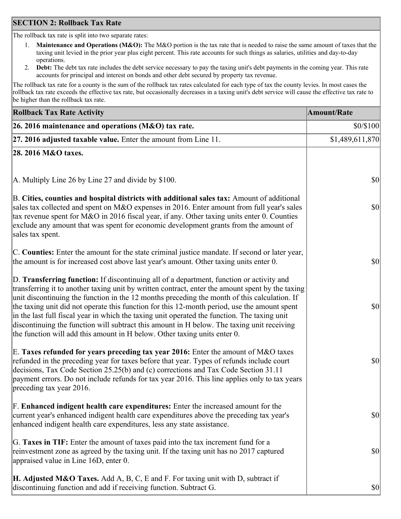## **SECTION 2: Rollback Tax Rate**

The rollback tax rate is split into two separate rates:

- 1. **Maintenance and Operations (M&O):** The M&O portion is the tax rate that is needed to raise the same amount of taxes that the taxing unit levied in the prior year plus eight percent. This rate accounts for such things as salaries, utilities and day-to-day operations.
- 2. **Debt:** The debt tax rate includes the debt service necessary to pay the taxing unit's debt payments in the coming year. This rate accounts for principal and interest on bonds and other debt secured by property tax revenue.

The rollback tax rate for a county is the sum of the rollback tax rates calculated for each type of tax the county levies. In most cases the rollback tax rate exceeds the effective tax rate, but occasionally decreases in a taxing unit's debt service will cause the effective tax rate to be higher than the rollback tax rate.

| <b>Rollback Tax Rate Activity</b>                                                                                                                                                                                                                                                                                                                                                                                                                                                                                                                                                                                                                                       | <b>Amount/Rate</b> |
|-------------------------------------------------------------------------------------------------------------------------------------------------------------------------------------------------------------------------------------------------------------------------------------------------------------------------------------------------------------------------------------------------------------------------------------------------------------------------------------------------------------------------------------------------------------------------------------------------------------------------------------------------------------------------|--------------------|
| 26. 2016 maintenance and operations ( $M&O$ ) tax rate.                                                                                                                                                                                                                                                                                                                                                                                                                                                                                                                                                                                                                 | \$0/\$100          |
| $ 27.2016$ adjusted taxable value. Enter the amount from Line 11.                                                                                                                                                                                                                                                                                                                                                                                                                                                                                                                                                                                                       | \$1,489,611,870    |
| 28. 2016 M&O taxes.                                                                                                                                                                                                                                                                                                                                                                                                                                                                                                                                                                                                                                                     |                    |
|                                                                                                                                                                                                                                                                                                                                                                                                                                                                                                                                                                                                                                                                         |                    |
| A. Multiply Line 26 by Line 27 and divide by \$100.                                                                                                                                                                                                                                                                                                                                                                                                                                                                                                                                                                                                                     | $ 10\rangle$       |
| B. Cities, counties and hospital districts with additional sales tax: Amount of additional<br>sales tax collected and spent on M&O expenses in 2016. Enter amount from full year's sales<br>tax revenue spent for M&O in 2016 fiscal year, if any. Other taxing units enter 0. Counties<br>exclude any amount that was spent for economic development grants from the amount of<br>sales tax spent.                                                                                                                                                                                                                                                                     | $ 10\rangle$       |
| C. Counties: Enter the amount for the state criminal justice mandate. If second or later year,<br>the amount is for increased cost above last year's amount. Other taxing units enter 0.                                                                                                                                                                                                                                                                                                                                                                                                                                                                                | $ 10\rangle$       |
| D. Transferring function: If discontinuing all of a department, function or activity and<br>transferring it to another taxing unit by written contract, enter the amount spent by the taxing<br>unit discontinuing the function in the 12 months preceding the month of this calculation. If<br>the taxing unit did not operate this function for this 12-month period, use the amount spent<br>in the last full fiscal year in which the taxing unit operated the function. The taxing unit<br>discontinuing the function will subtract this amount in H below. The taxing unit receiving<br>the function will add this amount in H below. Other taxing units enter 0. | $ 10\rangle$       |
| E. Taxes refunded for years preceding tax year 2016: Enter the amount of M&O taxes<br>refunded in the preceding year for taxes before that year. Types of refunds include court<br>decisions, Tax Code Section 25.25(b) and (c) corrections and Tax Code Section 31.11<br>payment errors. Do not include refunds for tax year 2016. This line applies only to tax years<br>preceding tax year 2016.                                                                                                                                                                                                                                                                     | \$0                |
| F. Enhanced indigent health care expenditures: Enter the increased amount for the<br>current year's enhanced indigent health care expenditures above the preceding tax year's<br>enhanced indigent health care expenditures, less any state assistance.                                                                                                                                                                                                                                                                                                                                                                                                                 | <b>\$0</b>         |
| G. Taxes in TIF: Enter the amount of taxes paid into the tax increment fund for a<br>reinvestment zone as agreed by the taxing unit. If the taxing unit has no 2017 captured<br>appraised value in Line 16D, enter 0.                                                                                                                                                                                                                                                                                                                                                                                                                                                   | $ 10\rangle$       |
| <b>H. Adjusted M&amp;O Taxes.</b> Add A, B, C, E and F. For taxing unit with D, subtract if<br>discontinuing function and add if receiving function. Subtract G.                                                                                                                                                                                                                                                                                                                                                                                                                                                                                                        | <b>\$0</b>         |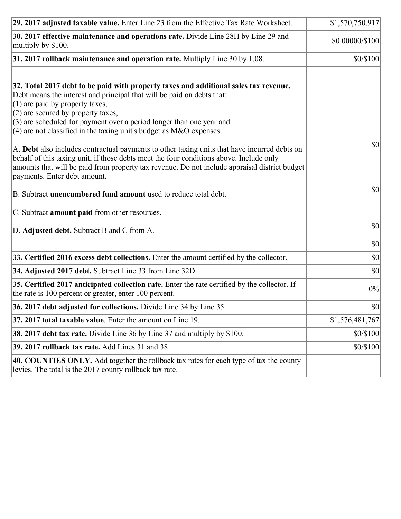| 29. 2017 adjusted taxable value. Enter Line 23 from the Effective Tax Rate Worksheet.                                                                                                                                                                                                                                                                                                         | \$1,570,750,917 |
|-----------------------------------------------------------------------------------------------------------------------------------------------------------------------------------------------------------------------------------------------------------------------------------------------------------------------------------------------------------------------------------------------|-----------------|
| 30. 2017 effective maintenance and operations rate. Divide Line 28H by Line 29 and<br>multiply by \$100.                                                                                                                                                                                                                                                                                      | \$0.00000/\$100 |
| $31.2017$ rollback maintenance and operation rate. Multiply Line 30 by 1.08.                                                                                                                                                                                                                                                                                                                  | \$0/\$100       |
| 32. Total 2017 debt to be paid with property taxes and additional sales tax revenue.<br>Debt means the interest and principal that will be paid on debts that:<br>$(1)$ are paid by property taxes,<br>$(2)$ are secured by property taxes,<br>$(3)$ are scheduled for payment over a period longer than one year and<br>(4) are not classified in the taxing unit's budget as $M&O$ expenses |                 |
| A. Debt also includes contractual payments to other taxing units that have incurred debts on<br>behalf of this taxing unit, if those debts meet the four conditions above. Include only<br>amounts that will be paid from property tax revenue. Do not include appraisal district budget<br>payments. Enter debt amount.                                                                      | 30              |
| B. Subtract unencumbered fund amount used to reduce total debt.                                                                                                                                                                                                                                                                                                                               | \$0             |
| C. Subtract amount paid from other resources.                                                                                                                                                                                                                                                                                                                                                 |                 |
| D. Adjusted debt. Subtract B and C from A.                                                                                                                                                                                                                                                                                                                                                    | $ 10\rangle$    |
|                                                                                                                                                                                                                                                                                                                                                                                               | $ 10\rangle$    |
| 33. Certified 2016 excess debt collections. Enter the amount certified by the collector.                                                                                                                                                                                                                                                                                                      | $ 10\rangle$    |
| 34. Adjusted 2017 debt. Subtract Line 33 from Line 32D.                                                                                                                                                                                                                                                                                                                                       | $ 10\rangle$    |
| 35. Certified 2017 anticipated collection rate. Enter the rate certified by the collector. If<br>the rate is 100 percent or greater, enter 100 percent.                                                                                                                                                                                                                                       | 0%              |
| 36. 2017 debt adjusted for collections. Divide Line 34 by Line 35                                                                                                                                                                                                                                                                                                                             | \$0             |
| 37. 2017 total taxable value. Enter the amount on Line 19.                                                                                                                                                                                                                                                                                                                                    | \$1,576,481,767 |
| <b>38. 2017 debt tax rate.</b> Divide Line 36 by Line 37 and multiply by \$100.                                                                                                                                                                                                                                                                                                               | \$0/\$100       |
| <b>39. 2017 rollback tax rate.</b> Add Lines 31 and 38.                                                                                                                                                                                                                                                                                                                                       | \$0/\$100       |
| 40. COUNTIES ONLY. Add together the rollback tax rates for each type of tax the county<br>levies. The total is the 2017 county rollback tax rate.                                                                                                                                                                                                                                             |                 |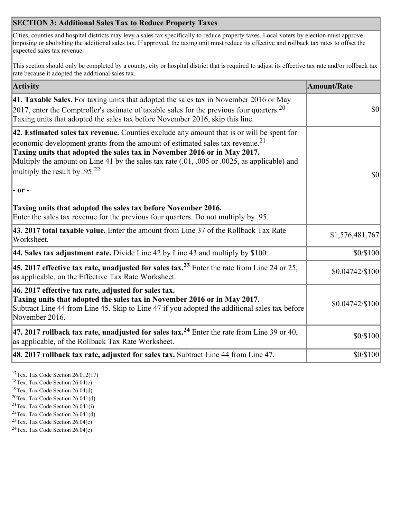## **SECTION 3: Additional Sales Tax to Reduce Property Taxes**

Cities, counties and hospital districts may levy a sales tax specifically to reduce property taxes. Local voters by election must approve imposing or abolishing the additional sales tax. If approved, the taxing unit must reduce its effective and rollback tax rates to offset the expected sales tax revenue.

This section should only be completed by a county, city or hospital district that is required to adjust its effective tax rate and/or rollback tax rate because it adopted the additional sales tax.

| <b>Activity</b>                                                                                                                                                                                                                                                                                                                                                                                      | <b>Amount/Rate</b> |
|------------------------------------------------------------------------------------------------------------------------------------------------------------------------------------------------------------------------------------------------------------------------------------------------------------------------------------------------------------------------------------------------------|--------------------|
| 41. Taxable Sales. For taxing units that adopted the sales tax in November 2016 or May<br>[2017, enter the Comptroller's estimate of taxable sales for the previous four quarters. <sup>20</sup><br>Taxing units that adopted the sales tax before November 2016, skip this line.                                                                                                                    | <b>\$0</b>         |
| 42. Estimated sales tax revenue. Counties exclude any amount that is or will be spent for<br>economic development grants from the amount of estimated sales tax revenue. <sup>21</sup><br>Taxing units that adopted the sales tax in November 2016 or in May 2017.<br>Multiply the amount on Line 41 by the sales tax rate (.01, .005 or .0025, as applicable) and<br>multiply the result by $.9522$ | \$0                |
| $ -$ or $-$                                                                                                                                                                                                                                                                                                                                                                                          |                    |
| Taxing units that adopted the sales tax before November 2016.<br>Enter the sales tax revenue for the previous four quarters. Do not multiply by .95.                                                                                                                                                                                                                                                 |                    |
| 43. 2017 total taxable value. Enter the amount from Line 37 of the Rollback Tax Rate<br>Worksheet.                                                                                                                                                                                                                                                                                                   | \$1,576,481,767    |
| 44. Sales tax adjustment rate. Divide Line 42 by Line 43 and multiply by \$100.                                                                                                                                                                                                                                                                                                                      | \$0/\$100          |
| 45. 2017 effective tax rate, unadjusted for sales tax. <sup>23</sup> Enter the rate from Line 24 or 25,<br>as applicable, on the Effective Tax Rate Worksheet.                                                                                                                                                                                                                                       | \$0.04742/\$100    |
| 46. 2017 effective tax rate, adjusted for sales tax.<br>Taxing units that adopted the sales tax in November 2016 or in May 2017.<br>Subtract Line 44 from Line 45. Skip to Line 47 if you adopted the additional sales tax before<br>November 2016.                                                                                                                                                  | \$0.04742/\$100    |
| 47. 2017 rollback tax rate, unadjusted for sales tax. <sup>24</sup> Enter the rate from Line 39 or 40,<br>as applicable, of the Rollback Tax Rate Worksheet.                                                                                                                                                                                                                                         | \$0/\$100          |
| $ 48.2017$ rollback tax rate, adjusted for sales tax. Subtract Line 44 from Line 47.                                                                                                                                                                                                                                                                                                                 | \$0/\$100          |

<sup>17</sup>Tex. Tax Code Section 26.012(17)

<sup>18</sup>Tex. Tax Code Section 26.04(c)

<sup>19</sup>Tex. Tax Code Section 26.04(d)

<sup>20</sup>Tex. Tax Code Section 26.041(d)

- $21$ Tex. Tax Code Section 26.041(i)
- <sup>22</sup>Tex. Tax Code Section 26.041(d)
- <sup>23</sup>Tex. Tax Code Section  $26.04(c)$

<sup>24</sup>Tex. Tax Code Section  $26.04(c)$